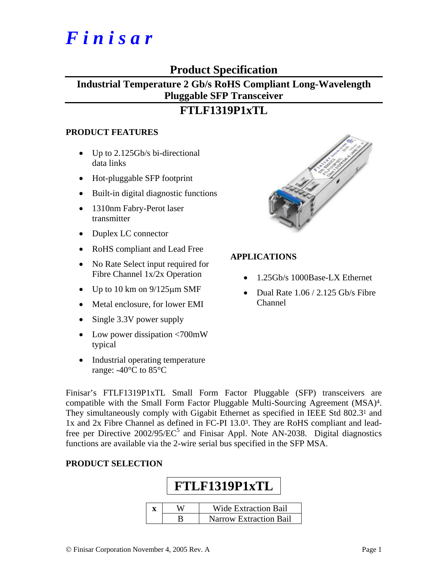# *F i n i s a r*

### **Product Specification**

# **Industrial Temperature 2 Gb/s RoHS Compliant Long-Wavelength Pluggable SFP Transceiver**

## **FTLF1319P1xTL**

#### **PRODUCT FEATURES**

- Up to 2.125Gb/s bi-directional data links
- Hot-pluggable SFP footprint
- Built-in digital diagnostic functions
- 1310nm Fabry-Perot laser transmitter
- Duplex LC connector
- RoHS compliant and Lead Free
- No Rate Select input required for Fibre Channel 1x/2x Operation
- Up to 10 km on  $9/125 \mu m$  SMF
- Metal enclosure, for lower EMI
- Single 3.3V power supply
- Low power dissipation <700mW typical
- Industrial operating temperature range: -40°C to 85°C



#### **APPLICATIONS**

- 1.25Gb/s 1000Base-LX Ethernet
- Dual Rate 1.06 / 2.125 Gb/s Fibre Channel

Finisar's FTLF1319P1xTL Small Form Factor Pluggable (SFP) transceivers are compatible with the Small Form Factor Pluggable Multi-Sourcing Agreement (MSA)4. They simultaneously comply with Gigabit Ethernet as specified in IEEE Std 802.31 and 1x and 2x Fibre Channel as defined in FC-PI 13.03. They are RoHS compliant and leadfree per Directive 2002/95/EC<sup>5</sup> and Finisar Appl. Note AN-2038. Digital diagnostics functions are available via the 2-wire serial bus specified in the SFP MSA.

#### **PRODUCT SELECTION**

|   | <b>FTLF1319P1xTL</b>          |
|---|-------------------------------|
|   |                               |
| X | <b>Wide Extraction Bail</b>   |
|   | <b>Narrow Extraction Bail</b> |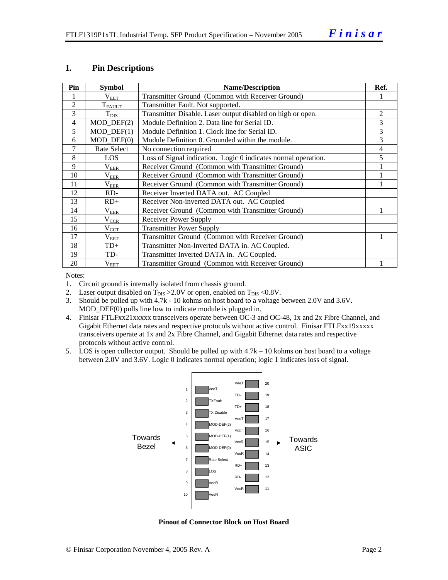#### **I. Pin Descriptions**

| Pin            | <b>Symbol</b>             | <b>Name/Description</b>                                        | Ref. |
|----------------|---------------------------|----------------------------------------------------------------|------|
|                | $\rm V_{EET}$             | Transmitter Ground (Common with Receiver Ground)               |      |
| 2              | $T_{\text{FAUT}}$         | Transmitter Fault. Not supported.                              |      |
| 3              | $T_{\text{DIS}}$          | Transmitter Disable. Laser output disabled on high or open.    | 2    |
| 4              | MOD_DEF(2)                | Module Definition 2. Data line for Serial ID.                  | 3    |
| 5              | $MOD$ $DEF(1)$            | Module Definition 1. Clock line for Serial ID.                 | 3    |
| 6              | $MOD$ $DEF(0)$            | Module Definition 0. Grounded within the module.               | 3    |
| $\overline{7}$ | Rate Select               | No connection required                                         | 4    |
| 8              | LOS                       | Loss of Signal indication. Logic 0 indicates normal operation. | 5    |
| 9              | $\rm V_{E\underline{E}R}$ | Receiver Ground (Common with Transmitter Ground)               |      |
| 10             | $\rm V_{EER}$             | Receiver Ground (Common with Transmitter Ground)               |      |
| 11             | $\rm V_{EER}$             | Receiver Ground (Common with Transmitter Ground)               |      |
| 12             | RD-                       | Receiver Inverted DATA out. AC Coupled                         |      |
| 13             | $RD+$                     | Receiver Non-inverted DATA out. AC Coupled                     |      |
| 14             | $\rm V_{EER}$             | Receiver Ground (Common with Transmitter Ground)               |      |
| 15             | $\rm V_{CCR}$             | Receiver Power Supply                                          |      |
| 16             | $\rm V_{CCT}$             | <b>Transmitter Power Supply</b>                                |      |
| 17             | $V_{EET}$                 | Transmitter Ground (Common with Receiver Ground)               |      |
| 18             | $TD+$                     | Transmitter Non-Inverted DATA in. AC Coupled.                  |      |
| 19             | TD-                       | Transmitter Inverted DATA in. AC Coupled.                      |      |
| 20             | $\rm V_{EET}$             | Transmitter Ground (Common with Receiver Ground)               |      |

Notes:

1. Circuit ground is internally isolated from chassis ground.

2. Laser output disabled on  $T_{DIS} > 2.0V$  or open, enabled on  $T_{DIS} < 0.8V$ .

3. Should be pulled up with 4.7k - 10 kohms on host board to a voltage between 2.0V and 3.6V. MOD\_DEF(0) pulls line low to indicate module is plugged in.

4. Finisar FTLFxx21xxxxx transceivers operate between OC-3 and OC-48, 1x and 2x Fibre Channel, and Gigabit Ethernet data rates and respective protocols without active control. Finisar FTLFxx19xxxxx transceivers operate at 1x and 2x Fibre Channel, and Gigabit Ethernet data rates and respective protocols without active control.

5. LOS is open collector output. Should be pulled up with 4.7k – 10 kohms on host board to a voltage between 2.0V and 3.6V. Logic 0 indicates normal operation; logic 1 indicates loss of signal.



**Pinout of Connector Block on Host Board**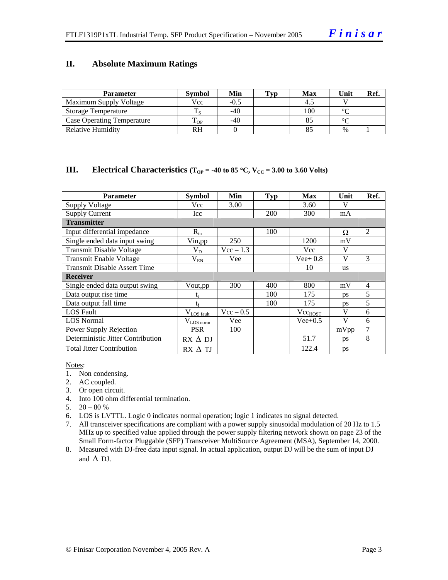#### **II. Absolute Maximum Ratings**

| <b>Parameter</b>                  | <b>Symbol</b> | Min    | Typ | <b>Max</b> | Unit   | Ref. |
|-----------------------------------|---------------|--------|-----|------------|--------|------|
| Maximum Supply Voltage            | Vcc           | $-0.5$ |     |            |        |      |
| Storage Temperature               |               | $-40$  |     | 100        | $\sim$ |      |
| <b>Case Operating Temperature</b> | - OP          | $-40$  |     |            | $\sim$ |      |
| Relative Humidity                 | RH            |        |     |            | $\%$   |      |

#### **III.** Electrical Characteristics ( $T_{OP} = -40$  to 85 °C,  $V_{CC} = 3.00$  to 3.60 Volts)

| <b>Parameter</b>                    | <b>Symbol</b>          | Min         | Typ        | <b>Max</b>   | Unit      | Ref.           |
|-------------------------------------|------------------------|-------------|------------|--------------|-----------|----------------|
| <b>Supply Voltage</b>               | Vcc                    | 3.00        |            | 3.60         | V         |                |
| <b>Supply Current</b>               | Icc                    |             | <b>200</b> | 300          | mA        |                |
| <b>Transmitter</b>                  |                        |             |            |              |           |                |
| Input differential impedance        | $R_{in}$               |             | 100        |              | Ω         | 2              |
| Single ended data input swing       | Vin, pp                | 250         |            | 1200         | mV        |                |
| <b>Transmit Disable Voltage</b>     | $\rm V_{D}$            | $Vec - 1.3$ |            | Vcc          | V         |                |
| <b>Transmit Enable Voltage</b>      | $V_{EN}$               | Vee         |            | $Vee+0.8$    | V         | 3              |
| <b>Transmit Disable Assert Time</b> |                        |             |            | 10           | <b>us</b> |                |
| <b>Receiver</b>                     |                        |             |            |              |           |                |
| Single ended data output swing      | Vout, pp               | 300         | 400        | 800          | mV        | $\overline{4}$ |
| Data output rise time               | $\mathfrak{t}_{\rm r}$ |             | 100        | 175          | ps        | 5              |
| Data output fall time               | $t_{\rm f}$            |             | 100        | 175          | ps        | 5              |
| <b>LOS</b> Fault                    | $V_{LOS\_fault}$       | $Vec - 0.5$ |            | $Vec_{HOST}$ | V         | 6              |
| <b>LOS</b> Normal                   | $V_{LOS\_norm}$        | Vee         |            | $Vee+0.5$    | V         | 6              |
| Power Supply Rejection              | <b>PSR</b>             | 100         |            |              | mVpp      | 7              |
| Deterministic Jitter Contribution   | $RX \Delta DI$         |             |            | 51.7         | ps        | 8              |
| <b>Total Jitter Contribution</b>    | $RX \Delta TI$         |             |            | 122.4        | ps        |                |

Notes:

- 1. Non condensing.
- 2. AC coupled.
- 3. Or open circuit.
- 4. Into 100 ohm differential termination.
- 5.  $20 80 %$
- 6. LOS is LVTTL. Logic 0 indicates normal operation; logic 1 indicates no signal detected.
- 7. All transceiver specifications are compliant with a power supply sinusoidal modulation of 20 Hz to 1.5 MHz up to specified value applied through the power supply filtering network shown on page 23 of the Small Form-factor Pluggable (SFP) Transceiver MultiSource Agreement (MSA), September 14, 2000.
- 8. Measured with DJ-free data input signal. In actual application, output DJ will be the sum of input DJ and  $\triangle$  DJ.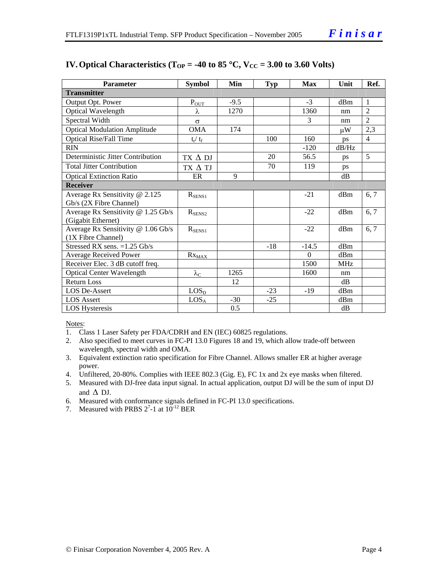| <b>Parameter</b>                    | <b>Symbol</b>      | Min    | <b>Typ</b> | Max      | Unit       | Ref.           |
|-------------------------------------|--------------------|--------|------------|----------|------------|----------------|
| <b>Transmitter</b>                  |                    |        |            |          |            |                |
| Output Opt. Power                   | $P_{OUT}$          | $-9.5$ |            | $-3$     | dBm        | 1              |
| Optical Wavelength                  | λ                  | 1270   |            | 1360     | nm         | $\mathfrak{D}$ |
| Spectral Width                      | $\sigma$           |        |            | 3        | nm         | $\overline{2}$ |
| <b>Optical Modulation Amplitude</b> | <b>OMA</b>         | 174    |            |          | иW         | 2,3            |
| <b>Optical Rise/Fall Time</b>       | $t_r / t_f$        |        | 100        | 160      | <b>DS</b>  | $\overline{4}$ |
| <b>RIN</b>                          |                    |        |            | $-120$   | dB/Hz      |                |
| Deterministic Jitter Contribution   | $TX \Delta DI$     |        | 20         | 56.5     | ps         | 5              |
| <b>Total Jitter Contribution</b>    | TX A TJ            |        | 70         | 119      | ps         |                |
| <b>Optical Extinction Ratio</b>     | ER                 | 9      |            |          | $\rm dB$   |                |
| <b>Receiver</b>                     |                    |        |            |          |            |                |
| Average Rx Sensitivity @ 2.125      | $R_{\rm SENS1}$    |        |            | $-21$    | dBm        | 6, 7           |
| Gb/s (2X Fibre Channel)             |                    |        |            |          |            |                |
| Average Rx Sensitivity @ 1.25 Gb/s  | $R_{\text{SENS2}}$ |        |            | $-22$    | dBm        | 6, 7           |
| (Gigabit Ethernet)                  |                    |        |            |          |            |                |
| Average Rx Sensitivity @ 1.06 Gb/s  | $R_{SENS1}$        |        |            | $-22$    | dBm        | 6, 7           |
| (1X Fibre Channel)                  |                    |        |            |          |            |                |
| Stressed RX sens. $=1.25$ Gb/s      |                    |        | $-18$      | $-14.5$  | dBm        |                |
| <b>Average Received Power</b>       | $Rx_{MAX}$         |        |            | $\Omega$ | dBm        |                |
| Receiver Elec. 3 dB cutoff freq.    |                    |        |            | 1500     | <b>MHz</b> |                |
| <b>Optical Center Wavelength</b>    | $\lambda_{\rm C}$  | 1265   |            | 1600     | nm         |                |
| <b>Return Loss</b>                  |                    | 12     |            |          | dB         |                |
| <b>LOS De-Assert</b>                | LOS <sub>D</sub>   |        | $-23$      | $-19$    | dBm        |                |
| <b>LOS Assert</b>                   | LOS <sub>A</sub>   | $-30$  | $-25$      |          | dBm        |                |
| <b>LOS Hysteresis</b>               |                    | 0.5    |            |          | dB         |                |

#### **IV. Optical Characteristics (T<sub>OP</sub> = -40 to 85 °C, V<sub>CC</sub> = 3.00 to 3.60 Volts)**

Notes:

- 1. Class 1 Laser Safety per FDA/CDRH and EN (IEC) 60825 regulations.
- 2. Also specified to meet curves in FC-PI 13.0 Figures 18 and 19, which allow trade-off between wavelength, spectral width and OMA.
- 3. Equivalent extinction ratio specification for Fibre Channel. Allows smaller ER at higher average power.
- 4. Unfiltered, 20-80%. Complies with IEEE 802.3 (Gig. E), FC 1x and 2x eye masks when filtered.
- 5. Measured with DJ-free data input signal. In actual application, output DJ will be the sum of input DJ and  $\Delta$  DJ.
- 6. Measured with conformance signals defined in FC-PI 13.0 specifications.
- 7. Measured with PRBS  $2^7$ -1 at  $10^{-12}$  BER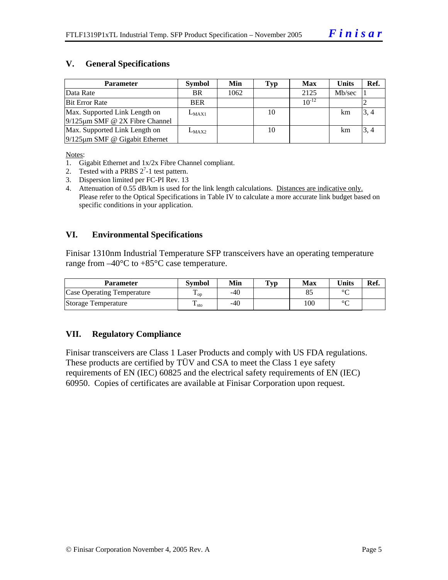#### **V. General Specifications**

| <b>Parameter</b>                     | <b>Symbol</b> | Min  | Typ | <b>Max</b> | Units  | Ref. |
|--------------------------------------|---------------|------|-----|------------|--------|------|
| Data Rate                            | <b>BR</b>     | 1062 |     | 2125       | Mb/sec |      |
| <b>Bit Error Rate</b>                | <b>BER</b>    |      |     | $10^{-12}$ |        |      |
| Max. Supported Link Length on        | $L_{MAX1}$    |      | 10  |            | km     | 3, 4 |
| $9/125 \mu m$ SMF @ 2X Fibre Channel |               |      |     |            |        |      |
| Max. Supported Link Length on        | $L_{MAX2}$    |      | 10  |            | km     | 3, 4 |
| $9/125 \mu m$ SMF @ Gigabit Ethernet |               |      |     |            |        |      |

Notes:

- 1. Gigabit Ethernet and 1x/2x Fibre Channel compliant.
- 2. Tested with a PRBS  $2^7$ -1 test pattern.
- 3. Dispersion limited per FC-PI Rev. 13
- 4. Attenuation of 0.55 dB/km is used for the link length calculations. Distances are indicative only. Please refer to the Optical Specifications in Table IV to calculate a more accurate link budget based on specific conditions in your application.

#### **VI. Environmental Specifications**

Finisar 1310nm Industrial Temperature SFP transceivers have an operating temperature range from  $-40^{\circ}$ C to  $+85^{\circ}$ C case temperature.

| Parameter                         | Svmbol            | Min   | $\mathbf{T}_{\mathbf{V}\mathbf{p}}$ | Max | <b>Units</b> | Ref. |
|-----------------------------------|-------------------|-------|-------------------------------------|-----|--------------|------|
| <b>Case Operating Temperature</b> | $\mathbf{L}_{OD}$ | -40   |                                     |     | $\sim$       |      |
| Storage Temperature               | ᠇᠇<br>$\pm$ sto   | $-40$ |                                     | 100 | $\sim$       |      |

#### **VII. Regulatory Compliance**

Finisar transceivers are Class 1 Laser Products and comply with US FDA regulations. These products are certified by TÜV and CSA to meet the Class 1 eye safety requirements of EN (IEC) 60825 and the electrical safety requirements of EN (IEC) 60950. Copies of certificates are available at Finisar Corporation upon request.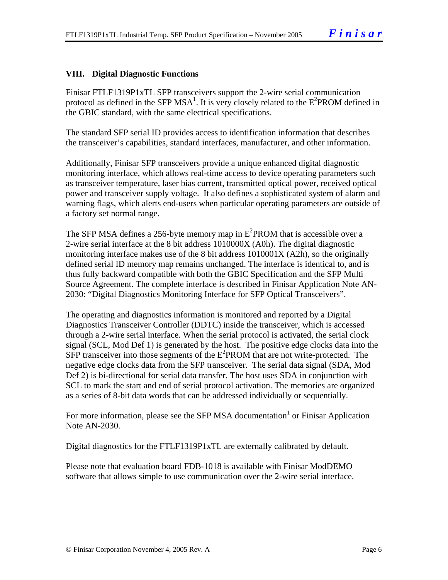#### **VIII. Digital Diagnostic Functions**

Finisar FTLF1319P1xTL SFP transceivers support the 2-wire serial communication protocol as defined in the SFP MSA<sup>1</sup>. It is very closely related to the  $E^2$ PROM defined in the GBIC standard, with the same electrical specifications.

The standard SFP serial ID provides access to identification information that describes the transceiver's capabilities, standard interfaces, manufacturer, and other information.

Additionally, Finisar SFP transceivers provide a unique enhanced digital diagnostic monitoring interface, which allows real-time access to device operating parameters such as transceiver temperature, laser bias current, transmitted optical power, received optical power and transceiver supply voltage. It also defines a sophisticated system of alarm and warning flags, which alerts end-users when particular operating parameters are outside of a factory set normal range.

The SFP MSA defines a 256-byte memory map in  $E^2$ PROM that is accessible over a 2-wire serial interface at the 8 bit address 1010000X (A0h). The digital diagnostic monitoring interface makes use of the 8 bit address 1010001X (A2h), so the originally defined serial ID memory map remains unchanged. The interface is identical to, and is thus fully backward compatible with both the GBIC Specification and the SFP Multi Source Agreement. The complete interface is described in Finisar Application Note AN-2030: "Digital Diagnostics Monitoring Interface for SFP Optical Transceivers".

The operating and diagnostics information is monitored and reported by a Digital Diagnostics Transceiver Controller (DDTC) inside the transceiver, which is accessed through a 2-wire serial interface. When the serial protocol is activated, the serial clock signal (SCL, Mod Def 1) is generated by the host. The positive edge clocks data into the  $SFP$  transceiver into those segments of the  $E^2$ PROM that are not write-protected. The negative edge clocks data from the SFP transceiver. The serial data signal (SDA, Mod Def 2) is bi-directional for serial data transfer. The host uses SDA in conjunction with SCL to mark the start and end of serial protocol activation. The memories are organized as a series of 8-bit data words that can be addressed individually or sequentially.

For more information, please see the SFP MSA documentation<sup>1</sup> or Finisar Application Note AN-2030.

Digital diagnostics for the FTLF1319P1xTL are externally calibrated by default.

Please note that evaluation board FDB-1018 is available with Finisar ModDEMO software that allows simple to use communication over the 2-wire serial interface.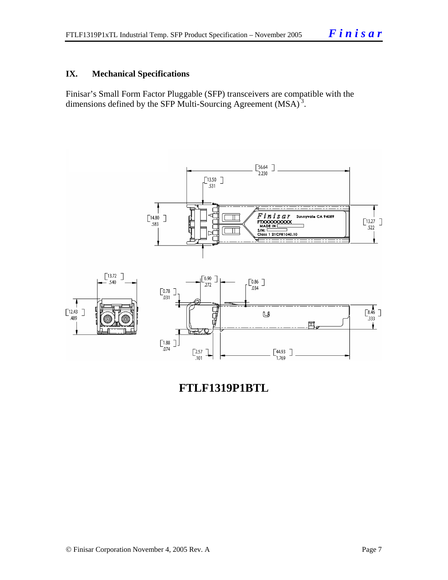#### **IX. Mechanical Specifications**

Finisar's Small Form Factor Pluggable (SFP) transceivers are compatible with the dimensions defined by the SFP Multi-Sourcing Agreement (MSA)<sup>3</sup>.



**FTLF1319P1BTL**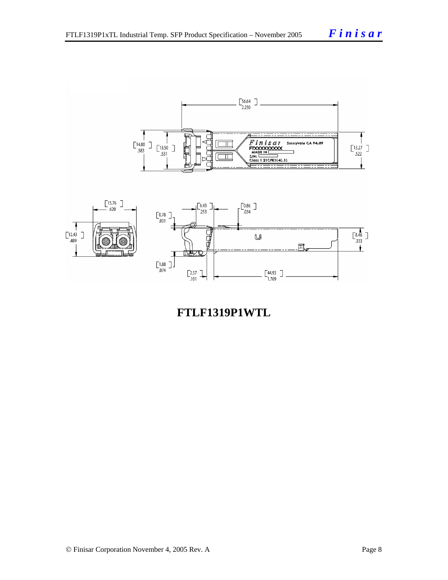

**FTLF1319P1WTL**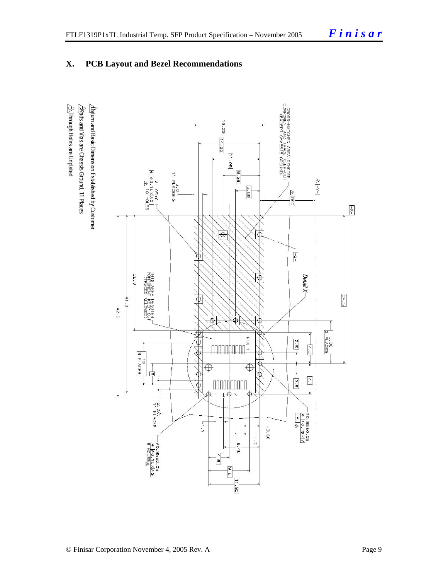



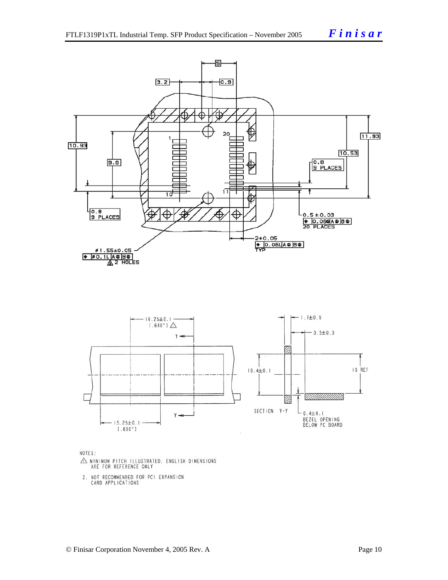



NOTES:

- $\triangle$  MINIMUM PITCH ILLUSTRATED, ENGLISH DIMENSIONS ARE FOR REFERENCE ONLY
- 2. NOT RECOMMENDED FOR PCI EXPANSION<br>CARD APPLICATIONS